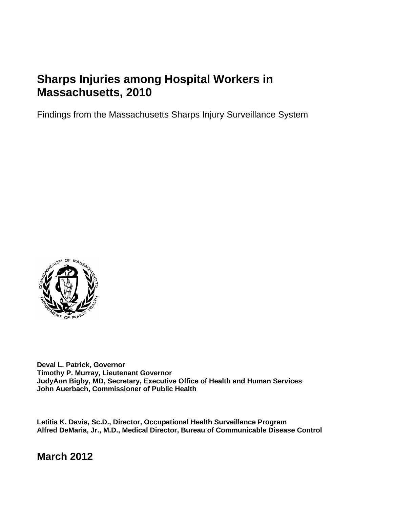# **Sharps Injuries among Hospital Workers in Massachusetts, 2010**

Findings from the Massachusetts Sharps Injury Surveillance System



**Deval L. Patrick, Governor Timothy P. Murray, Lieutenant Governor JudyAnn Bigby, MD, Secretary, Executive Office of Health and Human Services John Auerbach, Commissioner of Public Health** 

**Letitia K. Davis, Sc.D., Director, Occupational Health Surveillance Program Alfred DeMaria, Jr., M.D., Medical Director, Bureau of Communicable Disease Control** 

**March 2012**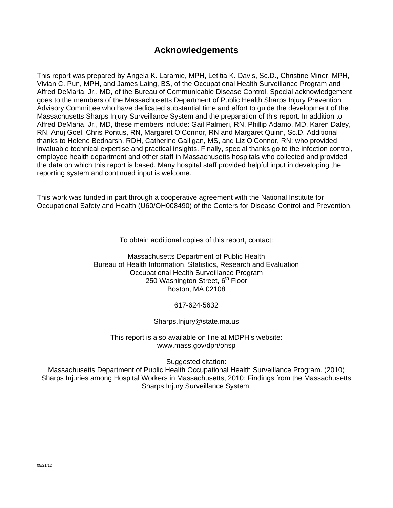# **Acknowledgements**

This report was prepared by Angela K. Laramie, MPH, Letitia K. Davis, Sc.D., Christine Miner, MPH, Vivian C. Pun, MPH, and James Laing, BS, of the Occupational Health Surveillance Program and Alfred DeMaria, Jr., MD, of the Bureau of Communicable Disease Control. Special acknowledgement goes to the members of the Massachusetts Department of Public Health Sharps Injury Prevention Advisory Committee who have dedicated substantial time and effort to guide the development of the Massachusetts Sharps Injury Surveillance System and the preparation of this report. In addition to Alfred DeMaria, Jr., MD, these members include: Gail Palmeri, RN, Phillip Adamo, MD, Karen Daley, RN, Anuj Goel, Chris Pontus, RN, Margaret O'Connor, RN and Margaret Quinn, Sc.D. Additional thanks to Helene Bednarsh, RDH, Catherine Galligan, MS, and Liz O'Connor, RN; who provided invaluable technical expertise and practical insights. Finally, special thanks go to the infection control, employee health department and other staff in Massachusetts hospitals who collected and provided the data on which this report is based. Many hospital staff provided helpful input in developing the reporting system and continued input is welcome.

This work was funded in part through a cooperative agreement with the National Institute for Occupational Safety and Health (U60/OH008490) of the Centers for Disease Control and Prevention.

To obtain additional copies of this report, contact:

Massachusetts Department of Public Health Bureau of Health Information, Statistics, Research and Evaluation Occupational Health Surveillance Program 250 Washington Street, 6<sup>th</sup> Floor Boston, MA 02108

617-624-5632

Sharps.Injury@state.ma.us

This report is also available on line at MDPH's website: www.mass.gov/dph/ohsp

Suggested citation:

Massachusetts Department of Public Health Occupational Health Surveillance Program. (2010) Sharps Injuries among Hospital Workers in Massachusetts, 2010: Findings from the Massachusetts Sharps Injury Surveillance System.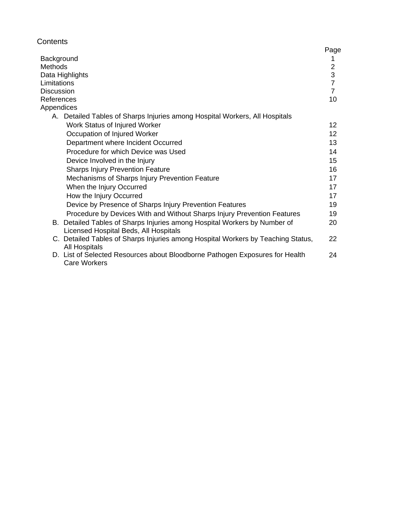| Contents                                                                         |                 |
|----------------------------------------------------------------------------------|-----------------|
| Background                                                                       | Page<br>1       |
| <b>Methods</b>                                                                   | $\overline{2}$  |
| Data Highlights                                                                  | 3               |
| Limitations                                                                      | $\overline{7}$  |
| <b>Discussion</b>                                                                | $\overline{7}$  |
| References                                                                       | 10              |
| Appendices                                                                       |                 |
| A. Detailed Tables of Sharps Injuries among Hospital Workers, All Hospitals      |                 |
| Work Status of Injured Worker                                                    | 12              |
| Occupation of Injured Worker                                                     | 12 <sup>2</sup> |
| Department where Incident Occurred                                               | 13              |
| Procedure for which Device was Used                                              | 14              |
| Device Involved in the Injury                                                    | 15              |
| <b>Sharps Injury Prevention Feature</b>                                          | 16              |
| Mechanisms of Sharps Injury Prevention Feature                                   | 17              |
| When the Injury Occurred                                                         | 17              |
| How the Injury Occurred                                                          | 17              |
| Device by Presence of Sharps Injury Prevention Features                          | 19              |
| Procedure by Devices With and Without Sharps Injury Prevention Features          | 19              |
| B. Detailed Tables of Sharps Injuries among Hospital Workers by Number of        | 20              |
| Licensed Hospital Beds, All Hospitals                                            |                 |
| C. Detailed Tables of Sharps Injuries among Hospital Workers by Teaching Status, | 22              |
| <b>All Hospitals</b>                                                             |                 |
| D. List of Selected Resources about Bloodborne Pathogen Exposures for Health     | 24              |
| <b>Care Workers</b>                                                              |                 |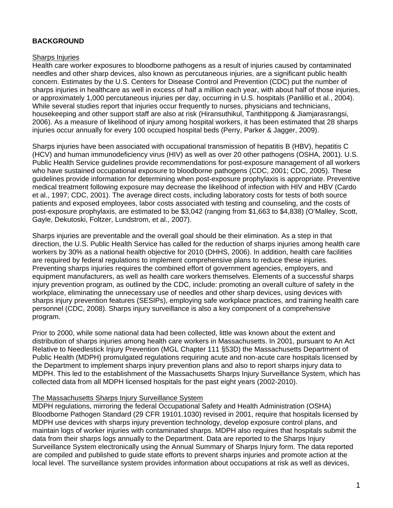## **BACKGROUND**

#### Sharps Injuries

Health care worker exposures to bloodborne pathogens as a result of injuries caused by contaminated needles and other sharp devices, also known as percutaneous injuries, are a significant public health concern. Estimates by the U.S. Centers for Disease Control and Prevention (CDC) put the number of sharps injuries in healthcare as well in excess of half a million each year, with about half of those injuries, or approximately 1,000 percutaneous injuries per day, occurring in U.S. hospitals (Panlillio et al., 2004). While several studies report that injuries occur frequently to nurses, physicians and technicians, housekeeping and other support staff are also at risk (Hiransuthikul, Tanthitippong & Jiamjarasrangsi, 2006). As a measure of likelihood of injury among hospital workers, it has been estimated that 28 sharps injuries occur annually for every 100 occupied hospital beds (Perry, Parker & Jagger, 2009).

Sharps injuries have been associated with occupational transmission of hepatitis B (HBV), hepatitis C (HCV) and human immunodeficiency virus (HIV) as well as over 20 other pathogens (OSHA, 2001). U.S. Public Health Service guidelines provide recommendations for post-exposure management of all workers who have sustained occupational exposure to bloodborne pathogens (CDC, 2001; CDC, 2005). These guidelines provide information for determining when post-exposure prophylaxis is appropriate. Preventive medical treatment following exposure may decrease the likelihood of infection with HIV and HBV (Cardo et al., 1997; CDC, 2001). The average direct costs, including laboratory costs for tests of both source patients and exposed employees, labor costs associated with testing and counseling, and the costs of post-exposure prophylaxis, are estimated to be \$3,042 (ranging from \$1,663 to \$4,838) (O'Malley, Scott, Gayle, Dekutoski, Foltzer, Lundstrom, et al., 2007).

Sharps injuries are preventable and the overall goal should be their elimination. As a step in that direction, the U.S. Public Health Service has called for the reduction of sharps injuries among health care workers by 30% as a national health objective for 2010 (DHHS, 2006). In addition, health care facilities are required by federal regulations to implement comprehensive plans to reduce these injuries. Preventing sharps injuries requires the combined effort of government agencies, employers, and equipment manufacturers, as well as health care workers themselves. Elements of a successful sharps injury prevention program, as outlined by the CDC, include: promoting an overall culture of safety in the workplace, eliminating the unnecessary use of needles and other sharp devices, using devices with sharps injury prevention features (SESIPs), employing safe workplace practices, and training health care personnel (CDC, 2008). Sharps injury surveillance is also a key component of a comprehensive program.

Prior to 2000, while some national data had been collected, little was known about the extent and distribution of sharps injuries among health care workers in Massachusetts. In 2001, pursuant to An Act Relative to Needlestick Injury Prevention (MGL Chapter 111 §53D) the Massachusetts Department of Public Health (MDPH) promulgated regulations requiring acute and non-acute care hospitals licensed by the Department to implement sharps injury prevention plans and also to report sharps injury data to MDPH. This led to the establishment of the Massachusetts Sharps Injury Surveillance System, which has collected data from all MDPH licensed hospitals for the past eight years (2002-2010).

#### The Massachusetts Sharps Injury Surveillance System

MDPH regulations, mirroring the federal Occupational Safety and Health Administration (OSHA) Bloodborne Pathogen Standard (29 CFR 19101.1030) revised in 2001, require that hospitals licensed by MDPH use devices with sharps injury prevention technology, develop exposure control plans, and maintain logs of worker injuries with contaminated sharps. MDPH also requires that hospitals submit the data from their sharps logs annually to the Department. Data are reported to the Sharps Injury Surveillance System electronically using the Annual Summary of Sharps Injury form. The data reported are compiled and published to guide state efforts to prevent sharps injuries and promote action at the local level. The surveillance system provides information about occupations at risk as well as devices,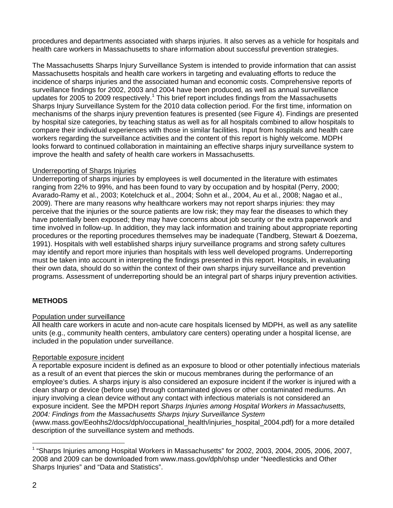procedures and departments associated with sharps injuries. It also serves as a vehicle for hospitals and health care workers in Massachusetts to share information about successful prevention strategies.

The Massachusetts Sharps Injury Surveillance System is intended to provide information that can assist Massachusetts hospitals and health care workers in targeting and evaluating efforts to reduce the incidence of sharps injuries and the associated human and economic costs. Comprehensive reports of surveillance findings for 2002, 2003 and 2004 have been produced, as well as annual surveillance updates for 2005 to 2009 respectively.<sup>1</sup> This brief report includes findings from the Massachusetts Sharps Injury Surveillance System for the 2010 data collection period. For the first time, information on mechanisms of the sharps injury prevention features is presented (see Figure 4). Findings are presented by hospital size categories, by teaching status as well as for all hospitals combined to allow hospitals to compare their individual experiences with those in similar facilities. Input from hospitals and health care workers regarding the surveillance activities and the content of this report is highly welcome. MDPH looks forward to continued collaboration in maintaining an effective sharps injury surveillance system to improve the health and safety of health care workers in Massachusetts.

## Underreporting of Sharps Injuries

Underreporting of sharps injuries by employees is well documented in the literature with estimates ranging from 22% to 99%, and has been found to vary by occupation and by hospital (Perry, 2000; Avarado-Ramy et al., 2003; Kotelchuck et al., 2004; Sohn et al., 2004, Au et al., 2008; Nagao et al., 2009). There are many reasons why healthcare workers may not report sharps injuries: they may perceive that the injuries or the source patients are low risk; they may fear the diseases to which they have potentially been exposed; they may have concerns about job security or the extra paperwork and time involved in follow-up. In addition, they may lack information and training about appropriate reporting procedures or the reporting procedures themselves may be inadequate (Tandberg, Stewart & Doezema, 1991). Hospitals with well established sharps injury surveillance programs and strong safety cultures may identify and report more injuries than hospitals with less well developed programs. Underreporting must be taken into account in interpreting the findings presented in this report. Hospitals, in evaluating their own data, should do so within the context of their own sharps injury surveillance and prevention programs. Assessment of underreporting should be an integral part of sharps injury prevention activities.

# **METHODS**

# Population under surveillance

All health care workers in acute and non-acute care hospitals licensed by MDPH, as well as any satellite units (e.g., community health centers, ambulatory care centers) operating under a hospital license, are included in the population under surveillance.

# Reportable exposure incident

A reportable exposure incident is defined as an exposure to blood or other potentially infectious materials as a result of an event that pierces the skin or mucous membranes during the performance of an employee's duties. A sharps injury is also considered an exposure incident if the worker is injured with a clean sharp or device (before use) through contaminated gloves or other contaminated mediums. An injury involving a clean device without any contact with infectious materials is not considered an exposure incident. See the MPDH report *Sharps Injuries among Hospital Workers in Massachusetts, 2004: Findings from the Massachusetts Sharps Injury Surveillance System* 

(www.mass.gov/Eeohhs2/docs/dph/occupational\_health/injuries\_hospital\_2004.pdf) for a more detailed description of the surveillance system and methods.

l

<sup>&</sup>lt;sup>1</sup> "Sharps Injuries among Hospital Workers in Massachusetts" for 2002, 2003, 2004, 2005, 2006, 2007, 2008 and 2009 can be downloaded from www.mass.gov/dph/ohsp under "Needlesticks and Other Sharps Injuries" and "Data and Statistics".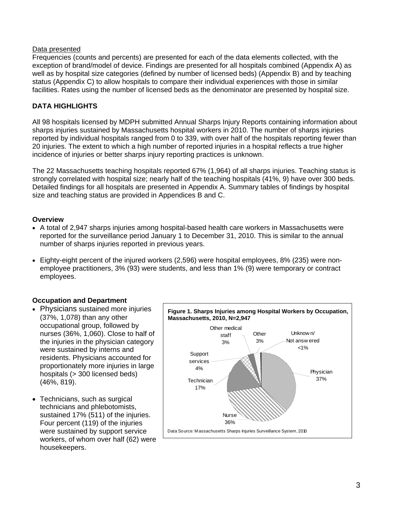#### Data presented

Frequencies (counts and percents) are presented for each of the data elements collected, with the exception of brand/model of device. Findings are presented for all hospitals combined (Appendix A) as well as by hospital size categories (defined by number of licensed beds) (Appendix B) and by teaching status (Appendix C) to allow hospitals to compare their individual experiences with those in similar facilities. Rates using the number of licensed beds as the denominator are presented by hospital size.

### **DATA HIGHLIGHTS**

All 98 hospitals licensed by MDPH submitted Annual Sharps Injury Reports containing information about sharps injuries sustained by Massachusetts hospital workers in 2010. The number of sharps injuries reported by individual hospitals ranged from 0 to 339, with over half of the hospitals reporting fewer than 20 injuries. The extent to which a high number of reported injuries in a hospital reflects a true higher incidence of injuries or better sharps injury reporting practices is unknown.

The 22 Massachusetts teaching hospitals reported 67% (1,964) of all sharps injuries. Teaching status is strongly correlated with hospital size; nearly half of the teaching hospitals (41%, 9) have over 300 beds. Detailed findings for all hospitals are presented in Appendix A. Summary tables of findings by hospital size and teaching status are provided in Appendices B and C.

#### **Overview**

- A total of 2,947 sharps injuries among hospital-based health care workers in Massachusetts were reported for the surveillance period January 1 to December 31, 2010. This is similar to the annual number of sharps injuries reported in previous years.
- Eighty-eight percent of the injured workers (2,596) were hospital employees, 8% (235) were nonemployee practitioners, 3% (93) were students, and less than 1% (9) were temporary or contract employees.

#### **Occupation and Department**

- Physicians sustained more injuries (37%, 1,078) than any other occupational group, followed by nurses (36%, 1,060). Close to half of the injuries in the physician category were sustained by interns and residents. Physicians accounted for proportionately more injuries in large hospitals (> 300 licensed beds) (46%, 819).
- Technicians, such as surgical technicians and phlebotomists, sustained 17% (511) of the injuries. Four percent (119) of the injuries were sustained by support service workers, of whom over half (62) were housekeepers.

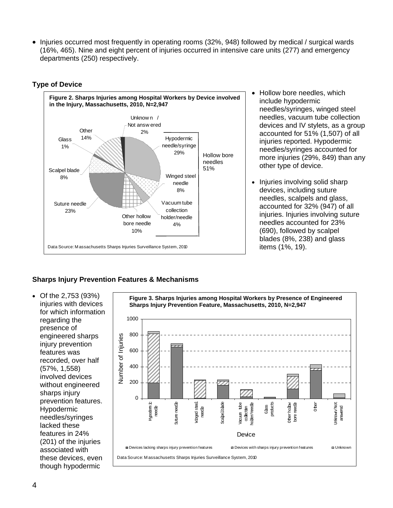• Injuries occurred most frequently in operating rooms (32%, 948) followed by medical / surgical wards (16%, 465). Nine and eight percent of injuries occurred in intensive care units (277) and emergency departments (250) respectively.

## **Type of Device**



- Hollow bore needles, which include hypodermic needles/syringes, winged steel needles, vacuum tube collection devices and IV stylets, as a group accounted for 51% (1,507) of all injuries reported. Hypodermic needles/syringes accounted for more injuries (29%, 849) than any other type of device.
- Injuries involving solid sharp devices, including suture needles, scalpels and glass, accounted for 32% (947) of all injuries. Injuries involving suture needles accounted for 23% (690), followed by scalpel blades (8%, 238) and glass items (1%, 19).

# **Sharps Injury Prevention Features & Mechanisms**

• Of the 2,753 (93%) injuries with devices for which information regarding the presence of engineered sharps injury prevention features was recorded, over half (57%, 1,558) involved devices without engineered sharps injury prevention features. Hypodermic needles/syringes lacked these features in 24% (201) of the injuries associated with these devices, even though hypodermic

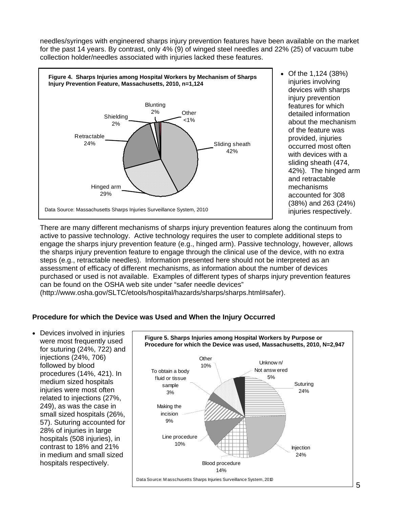needles/syringes with engineered sharps injury prevention features have been available on the market for the past 14 years. By contrast, only 4% (9) of winged steel needles and 22% (25) of vacuum tube collection holder/needles associated with injuries lacked these features.



• Of the 1,124 (38%) injuries involving devices with sharps injury prevention features for which detailed information about the mechanism of the feature was provided, injuries occurred most often with devices with a sliding sheath (474, 42%). The hinged arm and retractable mechanisms accounted for 308 (38%) and 263 (24%) injuries respectively.

There are many different mechanisms of sharps injury prevention features along the continuum from active to passive technology. Active technology requires the user to complete additional steps to engage the sharps injury prevention feature (e.g., hinged arm). Passive technology, however, allows the sharps injury prevention feature to engage through the clinical use of the device, with no extra steps (e.g., retractable needles). Information presented here should not be interpreted as an assessment of efficacy of different mechanisms, as information about the number of devices purchased or used is not available. Examples of different types of sharps injury prevention features can be found on the OSHA web site under "safer needle devices"

(http://www.osha.gov/SLTC/etools/hospital/hazards/sharps/sharps.html#safer).

# **Procedure for which the Device was Used and When the Injury Occurred**

• Devices involved in injuries were most frequently used for suturing (24%, 722) and injections (24%, 706) followed by blood procedures (14%, 421). In medium sized hospitals injuries were most often related to injections (27%, 249), as was the case in small sized hospitals (26%, 57). Suturing accounted for 28% of injuries in large hospitals (508 injuries), in contrast to 18% and 21% in medium and small sized hospitals respectively.

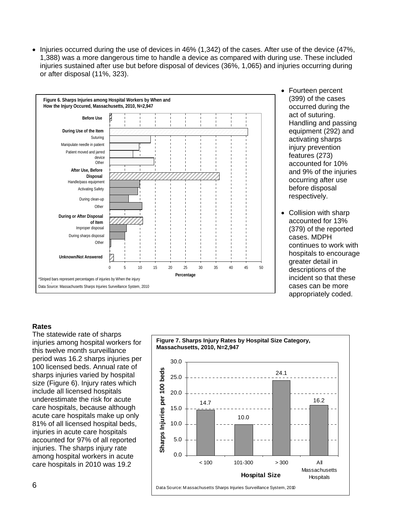• Injuries occurred during the use of devices in 46% (1,342) of the cases. After use of the device (47%, 1,388) was a more dangerous time to handle a device as compared with during use. These included injuries sustained after use but before disposal of devices (36%, 1,065) and injuries occurring during or after disposal (11%, 323).



- Fourteen percent (399) of the cases occurred during the act of suturing. Handling and passing equipment (292) and activating sharps injury prevention features (273) accounted for 10% and 9% of the injuries occurring after use before disposal respectively.
- Collision with sharp accounted for 13% (379) of the reported cases. MDPH continues to work with hospitals to encourage greater detail in descriptions of the incident so that these cases can be more appropriately coded.

#### **Rates**

The statewide rate of sharps injuries among hospital workers for this twelve month surveillance period was 16.2 sharps injuries per 100 licensed beds. Annual rate of sharps injuries varied by hospital size (Figure 6). Injury rates which include all licensed hospitals underestimate the risk for acute care hospitals, because although acute care hospitals make up only 81% of all licensed hospital beds, injuries in acute care hospitals accounted for 97% of all reported injuries. The sharps injury rate among hospital workers in acute care hospitals in 2010 was 19.2

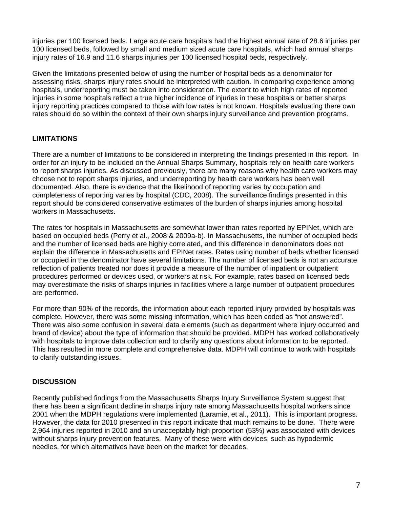injuries per 100 licensed beds. Large acute care hospitals had the highest annual rate of 28.6 injuries per 100 licensed beds, followed by small and medium sized acute care hospitals, which had annual sharps injury rates of 16.9 and 11.6 sharps injuries per 100 licensed hospital beds, respectively.

Given the limitations presented below of using the number of hospital beds as a denominator for assessing risks, sharps injury rates should be interpreted with caution. In comparing experience among hospitals, underreporting must be taken into consideration. The extent to which high rates of reported injuries in some hospitals reflect a true higher incidence of injuries in these hospitals or better sharps injury reporting practices compared to those with low rates is not known. Hospitals evaluating there own rates should do so within the context of their own sharps injury surveillance and prevention programs.

# **LIMITATIONS**

There are a number of limitations to be considered in interpreting the findings presented in this report. In order for an injury to be included on the Annual Sharps Summary, hospitals rely on health care workers to report sharps injuries. As discussed previously, there are many reasons why health care workers may choose not to report sharps injuries, and underreporting by health care workers has been well documented. Also, there is evidence that the likelihood of reporting varies by occupation and completeness of reporting varies by hospital (CDC, 2008). The surveillance findings presented in this report should be considered conservative estimates of the burden of sharps injuries among hospital workers in Massachusetts.

The rates for hospitals in Massachusetts are somewhat lower than rates reported by EPINet, which are based on occupied beds (Perry et al., 2008 & 2009a-b). In Massachusetts, the number of occupied beds and the number of licensed beds are highly correlated, and this difference in denominators does not explain the difference in Massachusetts and EPINet rates. Rates using number of beds whether licensed or occupied in the denominator have several limitations. The number of licensed beds is not an accurate reflection of patients treated nor does it provide a measure of the number of inpatient or outpatient procedures performed or devices used, or workers at risk. For example, rates based on licensed beds may overestimate the risks of sharps injuries in facilities where a large number of outpatient procedures are performed.

For more than 90% of the records, the information about each reported injury provided by hospitals was complete. However, there was some missing information, which has been coded as "not answered". There was also some confusion in several data elements (such as department where injury occurred and brand of device) about the type of information that should be provided. MDPH has worked collaboratively with hospitals to improve data collection and to clarify any questions about information to be reported. This has resulted in more complete and comprehensive data. MDPH will continue to work with hospitals to clarify outstanding issues.

# **DISCUSSION**

Recently published findings from the Massachusetts Sharps Injury Surveillance System suggest that there has been a significant decline in sharps injury rate among Massachusetts hospital workers since 2001 when the MDPH regulations were implemented (Laramie, et al., 2011). This is important progress. However, the data for 2010 presented in this report indicate that much remains to be done. There were 2,964 injuries reported in 2010 and an unacceptably high proportion (53%) was associated with devices without sharps injury prevention features. Many of these were with devices, such as hypodermic needles, for which alternatives have been on the market for decades.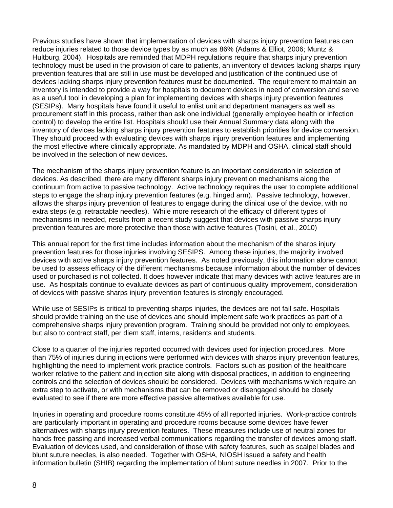Previous studies have shown that implementation of devices with sharps injury prevention features can reduce injuries related to those device types by as much as 86% (Adams & Elliot, 2006; Muntz & Hultburg, 2004). Hospitals are reminded that MDPH regulations require that sharps injury prevention technology must be used in the provision of care to patients, an inventory of devices lacking sharps injury prevention features that are still in use must be developed and justification of the continued use of devices lacking sharps injury prevention features must be documented. The requirement to maintain an inventory is intended to provide a way for hospitals to document devices in need of conversion and serve as a useful tool in developing a plan for implementing devices with sharps injury prevention features (SESIPs). Many hospitals have found it useful to enlist unit and department managers as well as procurement staff in this process, rather than ask one individual (generally employee health or infection control) to develop the entire list. Hospitals should use their Annual Summary data along with the inventory of devices lacking sharps injury prevention features to establish priorities for device conversion. They should proceed with evaluating devices with sharps injury prevention features and implementing the most effective where clinically appropriate. As mandated by MDPH and OSHA, clinical staff should be involved in the selection of new devices.

The mechanism of the sharps injury prevention feature is an important consideration in selection of devices. As described, there are many different sharps injury prevention mechanisms along the continuum from active to passive technology. Active technology requires the user to complete additional steps to engage the sharp injury prevention features (e.g. hinged arm). Passive technology, however, allows the sharps injury prevention of features to engage during the clinical use of the device, with no extra steps (e.g. retractable needles). While more research of the efficacy of different types of mechanisms in needed, results from a recent study suggest that devices with passive sharps injury prevention features are more protective than those with active features (Tosini, et al., 2010)

This annual report for the first time includes information about the mechanism of the sharps injury prevention features for those injuries involving SESIPS. Among these injuries, the majority involved devices with active sharps injury prevention features. As noted previously, this information alone cannot be used to assess efficacy of the different mechanisms because information about the number of devices used or purchased is not collected. It does however indicate that many devices with active features are in use. As hospitals continue to evaluate devices as part of continuous quality improvement, consideration of devices with passive sharps injury prevention features is strongly encouraged.

While use of SESIPs is critical to preventing sharps injuries, the devices are not fail safe. Hospitals should provide training on the use of devices and should implement safe work practices as part of a comprehensive sharps injury prevention program. Training should be provided not only to employees, but also to contract staff, per diem staff, interns, residents and students.

Close to a quarter of the injuries reported occurred with devices used for injection procedures. More than 75% of injuries during injections were performed with devices with sharps injury prevention features, highlighting the need to implement work practice controls. Factors such as position of the healthcare worker relative to the patient and injection site along with disposal practices, in addition to engineering controls and the selection of devices should be considered. Devices with mechanisms which require an extra step to activate, or with mechanisms that can be removed or disengaged should be closely evaluated to see if there are more effective passive alternatives available for use.

Injuries in operating and procedure rooms constitute 45% of all reported injuries. Work-practice controls are particularly important in operating and procedure rooms because some devices have fewer alternatives with sharps injury prevention features. These measures include use of neutral zones for hands free passing and increased verbal communications regarding the transfer of devices among staff. Evaluation of devices used, and consideration of those with safety features, such as scalpel blades and blunt suture needles, is also needed. Together with OSHA, NIOSH issued a safety and health information bulletin (SHIB) regarding the implementation of blunt suture needles in 2007. Prior to the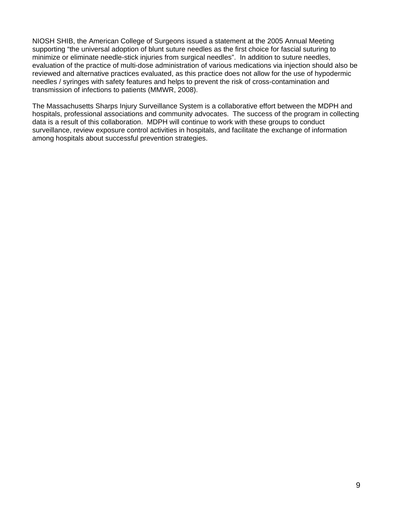NIOSH SHIB, the American College of Surgeons issued a statement at the 2005 Annual Meeting supporting "the universal adoption of blunt suture needles as the first choice for fascial suturing to minimize or eliminate needle-stick injuries from surgical needles". In addition to suture needles, evaluation of the practice of multi-dose administration of various medications via injection should also be reviewed and alternative practices evaluated, as this practice does not allow for the use of hypodermic needles / syringes with safety features and helps to prevent the risk of cross-contamination and transmission of infections to patients (MMWR, 2008).

The Massachusetts Sharps Injury Surveillance System is a collaborative effort between the MDPH and hospitals, professional associations and community advocates. The success of the program in collecting data is a result of this collaboration. MDPH will continue to work with these groups to conduct surveillance, review exposure control activities in hospitals, and facilitate the exchange of information among hospitals about successful prevention strategies.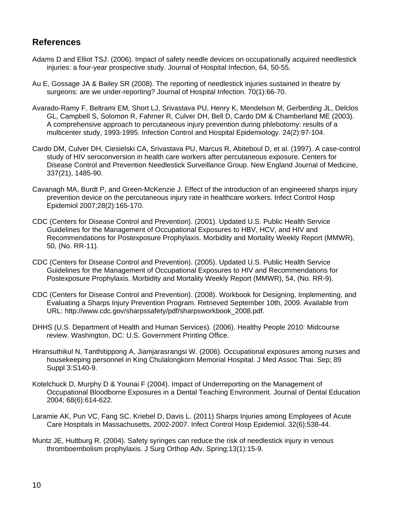# **References**

- Adams D and Elliot TSJ. (2006). Impact of safety needle devices on occupationally acquired needlestick injuries: a four-year prospective study. Journal of Hospital Infection, 64, 50-55.
- Au E, Gossage JA & Bailey SR (2008). The reporting of needlestick injuries sustained in theatre by surgeons: are we under-reporting? Journal of Hospital Infection. 70(1):66-70.
- Avarado-Ramy F, Beltrami EM, Short LJ, Srivastava PU, Henry K, Mendelson M, Gerberding JL, Delclos GL, Campbell S, Solomon R, Fahrner R, Culver DH, Bell D, Cardo DM & Chamberland ME (2003). A comprehensive approach to percutaneous injury prevention during phlebotomy: results of a multicenter study, 1993-1995. Infection Control and Hospital Epidemiology. 24(2):97-104.
- Cardo DM, Culver DH, Ciesielski CA, Srivastava PU, Marcus R, Abiteboul D, et al. (1997). A case-control study of HIV seroconversion in health care workers after percutaneous exposure. Centers for Disease Control and Prevention Needlestick Surveillance Group. New England Journal of Medicine, 337(21), 1485-90.
- Cavanagh MA, Burdt P, and Green-McKenzie J. Effect of the introduction of an engineered sharps injury prevention device on the percutaneous injury rate in healthcare workers. Infect Control Hosp Epidemiol 2007;28(2):165-170.
- CDC (Centers for Disease Control and Prevention). (2001). Updated U.S. Public Health Service Guidelines for the Management of Occupational Exposures to HBV, HCV, and HIV and Recommendations for Postexposure Prophylaxis. Morbidity and Mortality Weekly Report (MMWR), 50, (No. RR-11).
- CDC (Centers for Disease Control and Prevention). (2005). Updated U.S. Public Health Service Guidelines for the Management of Occupational Exposures to HIV and Recommendations for Postexposure Prophylaxis. Morbidity and Mortality Weekly Report (MMWR), 54, (No. RR-9).
- CDC (Centers for Disease Control and Prevention). (2008). Workbook for Designing, Implementing, and Evaluating a Sharps Injury Prevention Program. Retrieved September 10th, 2009. Available from URL: http://www.cdc.gov/sharpssafety/pdf/sharpsworkbook\_2008.pdf.
- DHHS (U.S. Department of Health and Human Services). (2006). Healthy People 2010: Midcourse review. Washington, DC: U.S. Government Printing Office.
- Hiransuthikul N, Tanthitippong A, Jiamjarasrangsi W. (2006). Occupational exposures among nurses and housekeeping personnel in King Chulalongkorn Memorial Hospital. J Med Assoc Thai. Sep; 89 Suppl 3:S140-9.
- Kotelchuck D, Murphy D & Younai F (2004). Impact of Underreporting on the Management of Occupational Bloodborne Exposures in a Dental Teaching Environment. Journal of Dental Education 2004; 68(6):614-622.
- Laramie AK, Pun VC, Fang SC, Kriebel D, Davis L. (2011) Sharps Injuries among Employees of Acute Care Hospitals in Massachusetts, 2002-2007. Infect Control Hosp Epidemiol. 32(6):538-44.
- Muntz JE, Hultburg R. (2004). Safety syringes can reduce the risk of needlestick injury in venous thromboembolism prophylaxis. J Surg Orthop Adv. Spring;13(1):15-9.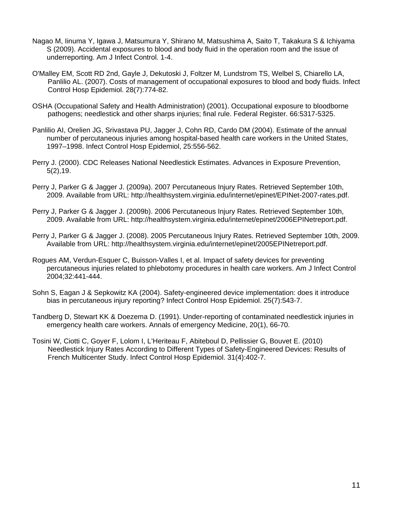- Nagao M, Iinuma Y, Igawa J, Matsumura Y, Shirano M, Matsushima A, Saito T, Takakura S & Ichiyama S (2009). Accidental exposures to blood and body fluid in the operation room and the issue of underreporting. Am J Infect Control. 1-4.
- O'Malley EM, Scott RD 2nd, Gayle J, Dekutoski J, Foltzer M, Lundstrom TS, Welbel S, Chiarello LA, Panlilio AL. (2007). Costs of management of occupational exposures to blood and body fluids. Infect Control Hosp Epidemiol. 28(7):774-82.
- OSHA (Occupational Safety and Health Administration) (2001). Occupational exposure to bloodborne pathogens; needlestick and other sharps injuries; final rule. Federal Register. 66:5317-5325.
- Panlilio AI, Orelien JG, Srivastava PU, Jagger J, Cohn RD, Cardo DM (2004). Estimate of the annual number of percutaneous injuries among hospital-based health care workers in the United States, 1997–1998. Infect Control Hosp Epidemiol, 25:556-562.
- Perry J. (2000). CDC Releases National Needlestick Estimates. Advances in Exposure Prevention, 5(2),19.
- Perry J, Parker G & Jagger J. (2009a). 2007 Percutaneous Injury Rates. Retrieved September 10th, 2009. Available from URL: http://healthsystem.virginia.edu/internet/epinet/EPINet-2007-rates.pdf.
- Perry J, Parker G & Jagger J. (2009b). 2006 Percutaneous Injury Rates. Retrieved September 10th, 2009. Available from URL: http://healthsystem.virginia.edu/internet/epinet/2006EPINetreport.pdf.
- Perry J, Parker G & Jagger J. (2008). 2005 Percutaneous Injury Rates. Retrieved September 10th, 2009. Available from URL: http://healthsystem.virginia.edu/internet/epinet/2005EPINetreport.pdf.
- Rogues AM, Verdun-Esquer C, Buisson-Valles I, et al. Impact of safety devices for preventing percutaneous injuries related to phlebotomy procedures in health care workers. Am J Infect Control 2004;32:441-444.
- Sohn S, Eagan J & Sepkowitz KA (2004). Safety-engineered device implementation: does it introduce bias in percutaneous injury reporting? Infect Control Hosp Epidemiol. 25(7):543-7.
- Tandberg D, Stewart KK & Doezema D. (1991). Under-reporting of contaminated needlestick injuries in emergency health care workers. Annals of emergency Medicine, 20(1), 66-70.
- Tosini W, Ciotti C, Goyer F, Lolom I, L'Heriteau F, Abiteboul D, Pellissier G, Bouvet E. (2010) Needlestick Injury Rates According to Different Types of Safety-Engineered Devices: Results of French Multicenter Study. Infect Control Hosp Epidemiol. 31(4):402-7.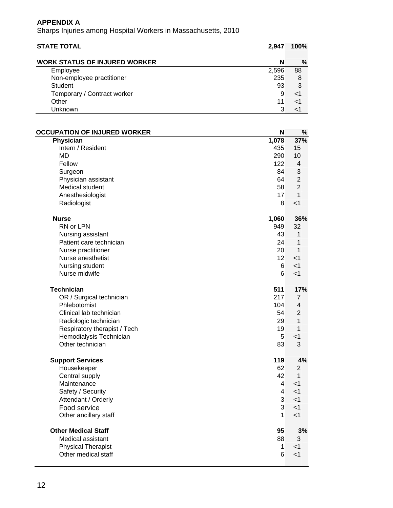| <b>STATE TOTAL</b>                   | 2,947          | 100%           |
|--------------------------------------|----------------|----------------|
| <b>WORK STATUS OF INJURED WORKER</b> | N              | %              |
| Employee                             | 2,596          | 88             |
| Non-employee practitioner            | 235            | 8              |
| <b>Student</b>                       | 93             | 3              |
| Temporary / Contract worker          | 9              | $<$ 1          |
| Other                                | 11             | $<$ 1          |
| Unknown                              | 3              | $<$ 1          |
|                                      |                |                |
| <b>OCCUPATION OF INJURED WORKER</b>  | N              | %              |
| Physician                            | 1,078          | 37%            |
| Intern / Resident                    | 435            | 15             |
| <b>MD</b>                            | 290            | 10             |
| Fellow                               | 122            | $\overline{4}$ |
| Surgeon                              | 84             | 3              |
| Physician assistant                  | 64             | $\overline{2}$ |
| Medical student                      | 58             | $\overline{2}$ |
| Anesthesiologist                     | 17             | $\mathbf{1}$   |
| Radiologist                          | 8              | $<$ 1          |
| <b>Nurse</b>                         | 1,060          | 36%            |
| RN or LPN                            | 949            | 32             |
| Nursing assistant                    | 43             | 1              |
| Patient care technician              | 24             | 1              |
| Nurse practitioner                   | 20             | 1              |
| Nurse anesthetist                    | 12             | $<$ 1          |
| Nursing student                      | 6              | $<$ 1          |
| Nurse midwife                        | 6              | $<$ 1          |
| <b>Technician</b>                    | 511            | 17%            |
| OR / Surgical technician             | 217            | $\overline{7}$ |
| Phlebotomist                         | 104            | $\overline{4}$ |
| Clinical lab technician              | 54             | 2              |
| Radiologic technician                | 29             | 1              |
| Respiratory therapist / Tech         | 19             | 1              |
| Hemodialysis Technician              | 5              | $<$ 1          |
| Other technician                     | 83             | 3              |
| <b>Support Services</b>              | 119            | 4%             |
| Housekeeper                          | 62             | $\overline{2}$ |
| Central supply                       | 42             | $\mathbf{1}$   |
| Maintenance                          | $\overline{4}$ | < 1            |
| Safety / Security                    | $\overline{4}$ | < 1            |
| Attendant / Orderly                  | $\overline{3}$ | < 1            |
| Food service                         | 3              | < 1            |
| Other ancillary staff                | $\mathbf{1}$   | < 1            |
| <b>Other Medical Staff</b>           | 95             | 3%             |
| Medical assistant                    | 88             | 3              |
| <b>Physical Therapist</b>            | $\mathbf{1}$   | $<$ 1          |
| Other medical staff                  | 6              | $<$ 1          |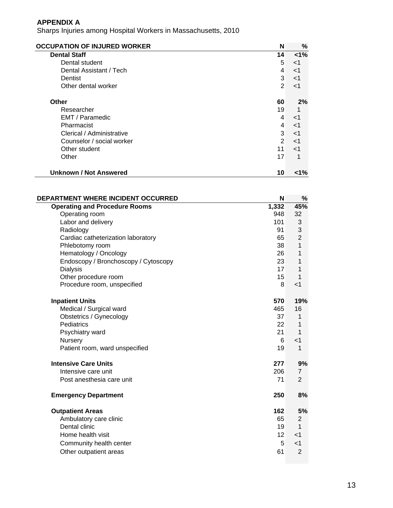| <b>OCCUPATION OF INJURED WORKER</b> | N  | %     |
|-------------------------------------|----|-------|
| <b>Dental Staff</b>                 | 14 | $1\%$ |
| Dental student                      | 5  | $<$ 1 |
| Dental Assistant / Tech             | 4  | $<$ 1 |
| Dentist                             | 3  | $<$ 1 |
| Other dental worker                 | 2  | $<$ 1 |
| <b>Other</b>                        | 60 | 2%    |
| Researcher                          | 19 |       |
| EMT / Paramedic                     | 4  | $<$ 1 |
| Pharmacist                          | 4  | $<$ 1 |
| Clerical / Administrative           | 3  | $<$ 1 |
| Counselor / social worker           | 2  | $<$ 1 |
| Other student                       | 11 | $<$ 1 |
| Other                               | 17 | 1     |
| <b>Unknown / Not Answered</b>       | 10 | <1%   |

| <b>DEPARTMENT WHERE INCIDENT OCCURRED</b> | N                 | $\%$           |
|-------------------------------------------|-------------------|----------------|
| <b>Operating and Procedure Rooms</b>      | 1,332             | 45%            |
| Operating room                            | 948               | 32             |
| Labor and delivery                        | 101               | 3              |
| Radiology                                 | 91                | 3              |
| Cardiac catheterization laboratory        | 65                | $\overline{2}$ |
| Phlebotomy room                           | 38                | 1              |
| Hematology / Oncology                     | 26                | 1              |
| Endoscopy / Bronchoscopy / Cytoscopy      | 23                | 1              |
| <b>Dialysis</b>                           | 17                | 1              |
| Other procedure room                      | 15                | 1              |
| Procedure room, unspecified               | 8                 | $<$ 1          |
| <b>Inpatient Units</b>                    | 570               | 19%            |
| Medical / Surgical ward                   | 465               | 16             |
| Obstetrics / Gynecology                   | 37                | 1              |
| Pediatrics                                | 22                | 1              |
| Psychiatry ward                           | 21                | 1              |
| Nursery                                   | 6                 | $<$ 1          |
| Patient room, ward unspecified            | 19                | 1              |
| <b>Intensive Care Units</b>               | 277               | 9%             |
| Intensive care unit                       | 206               | 7              |
| Post anesthesia care unit                 | 71                | $\overline{2}$ |
| <b>Emergency Department</b>               | 250               | 8%             |
| <b>Outpatient Areas</b>                   | 162               | 5%             |
| Ambulatory care clinic                    | 65                | 2              |
| Dental clinic                             | 19                | 1              |
| Home health visit                         | $12 \overline{ }$ | $<$ 1          |
| Community health center                   | 5                 | $<$ 1          |
| Other outpatient areas                    | 61                | $\overline{2}$ |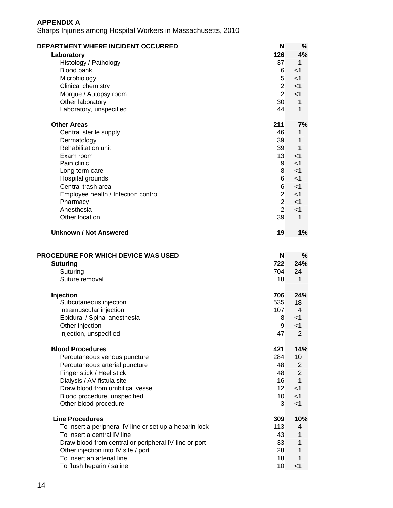| DEPARTMENT WHERE INCIDENT OCCURRED  | N               | %     |
|-------------------------------------|-----------------|-------|
| Laboratory                          | 126             | 4%    |
| Histology / Pathology               | 37              | 1     |
| <b>Blood bank</b>                   | 6               | $<$ 1 |
| Microbiology                        | 5               | $<$ 1 |
| Clinical chemistry                  | $\overline{2}$  | $<$ 1 |
| Morgue / Autopsy room               | $\overline{2}$  | $<$ 1 |
| Other laboratory                    | 30 <sup>°</sup> | 1     |
| Laboratory, unspecified             | 44              | 1     |
| <b>Other Areas</b>                  | 211             | 7%    |
| Central sterile supply              | 46              | 1     |
| Dermatology                         | 39              | 1     |
| Rehabilitation unit                 | 39              | 1     |
| Exam room                           | 13 <sup>1</sup> | $<$ 1 |
| Pain clinic                         | 9               | $<$ 1 |
| Long term care                      | 8               | $<$ 1 |
| Hospital grounds                    | 6               | $<$ 1 |
| Central trash area                  | 6               | $<$ 1 |
| Employee health / Infection control | $\overline{2}$  | $<$ 1 |
| Pharmacy                            | $\overline{2}$  | $<$ 1 |
| Anesthesia                          | 2               | $<$ 1 |
| Other location                      | 39              | 1     |
| <b>Unknown / Not Answered</b>       | 19              | 1%    |

| <b>PROCEDURE FOR WHICH DEVICE WAS USED</b>              | N               | %              |
|---------------------------------------------------------|-----------------|----------------|
| <b>Suturing</b>                                         | 722             | 24%            |
| Suturing                                                | 704             | 24             |
| Suture removal                                          | 18              | 1              |
| Injection                                               | 706             | 24%            |
| Subcutaneous injection                                  | 535             | 18             |
| Intramuscular injection                                 | 107             | 4              |
| Epidural / Spinal anesthesia                            | 8               | $<$ 1          |
| Other injection                                         | 9               | $<$ 1          |
| Injection, unspecified                                  | 47              | $\overline{2}$ |
| <b>Blood Procedures</b>                                 | 421             | 14%            |
| Percutaneous venous puncture                            | 284             | 10             |
| Percutaneous arterial puncture                          | 48              | 2              |
| Finger stick / Heel stick                               | 48              | $\overline{2}$ |
| Dialysis / AV fistula site                              | 16              | 1              |
| Draw blood from umbilical vessel                        | 12 <sup>1</sup> | $<$ 1          |
| Blood procedure, unspecified                            | 10 <sup>°</sup> | < 1            |
| Other blood procedure                                   | 3               | $<$ 1          |
| <b>Line Procedures</b>                                  | 309             | 10%            |
| To insert a peripheral IV line or set up a heparin lock | 113             | 4              |
| To insert a central IV line                             | 43              | 1              |
| Draw blood from central or peripheral IV line or port   | 33              | 1              |
| Other injection into IV site / port                     | 28              | 1              |
| To insert an arterial line                              | 18              | 1              |
| To flush heparin / saline                               | 10              | $<$ 1          |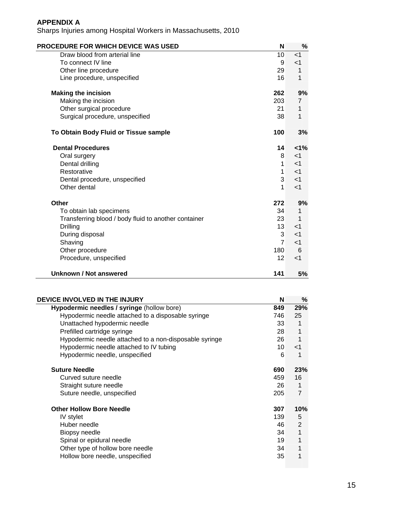| <b>PROCEDURE FOR WHICH DEVICE WAS USED</b>           | N               | %        |
|------------------------------------------------------|-----------------|----------|
| Draw blood from arterial line                        | 10              | < 1      |
| To connect IV line                                   | 9               | $<$ 1    |
| Other line procedure                                 | 29              | 1        |
| Line procedure, unspecified                          | 16              | 1        |
| <b>Making the incision</b>                           | 262             | 9%       |
| Making the incision                                  | 203             | 7        |
| Other surgical procedure                             | 21              | 1        |
| Surgical procedure, unspecified                      | 38              | 1        |
| To Obtain Body Fluid or Tissue sample                | 100             | 3%       |
| <b>Dental Procedures</b>                             | 14              | $< 1\%$  |
| Oral surgery                                         | 8               | $<$ 1    |
| Dental drilling                                      | 1               | $<$ 1    |
| Restorative                                          | $\mathbf 1$     | $<$ 1    |
| Dental procedure, unspecified                        | 3               | $<$ 1    |
| Other dental                                         | 1               | $<$ 1    |
| Other                                                | 272             | 9%       |
| To obtain lab specimens                              | 34              | 1        |
| Transferring blood / body fluid to another container | 23              | 1        |
| Drilling                                             | 13 <sup>1</sup> | $\leq$ 1 |
| During disposal                                      | 3               | $<$ 1    |
| Shaving                                              | $\overline{7}$  | $<$ 1    |
| Other procedure                                      | 180             | 6        |
| Procedure, unspecified                               | 12              | $<$ 1    |
| <b>Unknown / Not answered</b>                        | 141             | 5%       |

| DEVICE INVOLVED IN THE INJURY                          | N   | %              |
|--------------------------------------------------------|-----|----------------|
| Hypodermic needles / syringe (hollow bore)             | 849 | 29%            |
| Hypodermic needle attached to a disposable syringe     | 746 | 25             |
| Unattached hypodermic needle                           | 33  | 1              |
| Prefilled cartridge syringe                            | 28  | 1              |
| Hypodermic needle attached to a non-disposable syringe | 26  |                |
| Hypodermic needle attached to IV tubing                | 10  | $<$ 1          |
| Hypodermic needle, unspecified                         | 6   | 1              |
| <b>Suture Needle</b>                                   | 690 | 23%            |
| Curved suture needle                                   | 459 | 16             |
| Straight suture needle                                 | 26  | 1              |
| Suture needle, unspecified                             | 205 | $\overline{7}$ |
| <b>Other Hollow Bore Needle</b>                        | 307 | 10%            |
| IV stylet                                              | 139 | 5              |
| Huber needle                                           | 46  | $\overline{2}$ |
| Biopsy needle                                          | 34  | 1              |
| Spinal or epidural needle                              | 19  | 1              |
| Other type of hollow bore needle                       | 34  |                |
| Hollow bore needle, unspecified                        | 35  |                |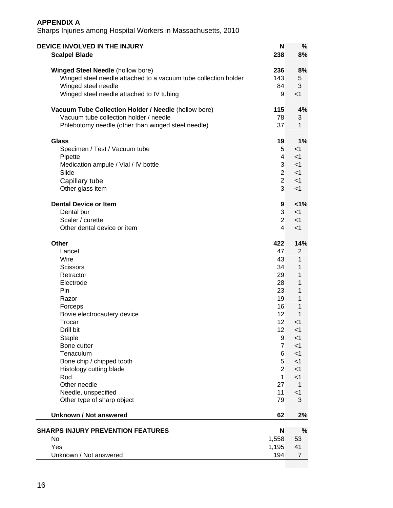| DEVICE INVOLVED IN THE INJURY                                   | N                       | %              |
|-----------------------------------------------------------------|-------------------------|----------------|
| <b>Scalpel Blade</b>                                            | 238                     | 8%             |
| <b>Winged Steel Needle (hollow bore)</b>                        | 236                     | 8%             |
| Winged steel needle attached to a vacuum tube collection holder | 143                     | 5              |
| Winged steel needle                                             | 84                      | 3              |
| Winged steel needle attached to IV tubing                       | 9                       | $<$ 1          |
| Vacuum Tube Collection Holder / Needle (hollow bore)            | 115                     | 4%             |
| Vacuum tube collection holder / needle                          | 78                      | 3              |
| Phlebotomy needle (other than winged steel needle)              | 37                      | 1              |
| <b>Glass</b>                                                    | 19                      | 1%             |
| Specimen / Test / Vacuum tube                                   | 5 <sup>5</sup>          | $<$ 1          |
| Pipette                                                         | 4                       | $<$ 1          |
| Medication ampule / Vial / IV bottle                            | 3                       | $<$ 1          |
| Slide                                                           | $\overline{2}$          | $<$ 1          |
| Capillary tube                                                  | $\overline{2}$          | $<$ 1          |
| Other glass item                                                | 3                       | $<$ 1          |
| <b>Dental Device or Item</b>                                    | 9                       | 1%             |
| Dental bur                                                      | 3                       | $<$ 1          |
| Scaler / curette                                                | $\overline{2}$          | $<$ 1          |
| Other dental device or item                                     | $\overline{\mathbf{4}}$ | $<$ 1          |
| Other                                                           | 422                     | 14%            |
| Lancet                                                          | 47                      | $\overline{2}$ |
| Wire                                                            | 43                      | 1              |
| Scissors                                                        | 34                      | 1              |
| Retractor                                                       | 29                      | 1              |
| Electrode                                                       | 28                      | 1              |
| <b>Pin</b>                                                      | 23                      | 1              |
| Razor                                                           | 19                      | 1              |
| Forceps                                                         | 16                      | 1              |
| Bovie electrocautery device                                     | 12                      | 1              |
| Trocar                                                          | 12                      | $<$ 1          |
| Drill bit                                                       | 12                      | <1             |
| <b>Staple</b>                                                   | 9<br>$\overline{7}$     | $<$ 1          |
| Bone cutter<br>Tenaculum                                        |                         | $<$ 1          |
|                                                                 | 6<br>5                  | $<$ 1<br>$<$ 1 |
| Bone chip / chipped tooth<br>Histology cutting blade            | $\overline{2}$          | $<$ 1          |
| Rod                                                             | 1                       | $<$ 1          |
| Other needle                                                    | 27                      | 1              |
| Needle, unspecified                                             | 11                      | $<$ 1          |
| Other type of sharp object                                      | 79                      | 3              |
| <b>Unknown / Not answered</b>                                   | 62                      | 2%             |
| <b>SHARPS INJURY PREVENTION FEATURES</b>                        | N                       | %              |
| No                                                              | 1,558                   | 53             |
| Yes                                                             | 1,195                   | 41             |
| Unknown / Not answered                                          | 194                     | 7              |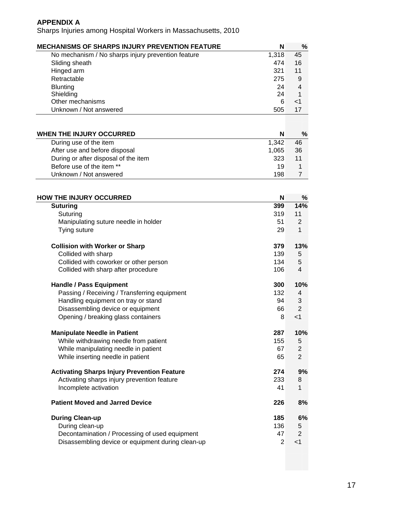| <b>MECHANISMS OF SHARPS INJURY PREVENTION FEATURE</b> | N     | %              |
|-------------------------------------------------------|-------|----------------|
| No mechanism / No sharps injury prevention feature    | 1,318 | 45             |
| Sliding sheath                                        | 474   | 16             |
| Hinged arm                                            | 321   | 11             |
| Retractable                                           | 275   | 9              |
| <b>Blunting</b>                                       | 24    | $\overline{4}$ |
| Shielding                                             | 24    | 1              |
| Other mechanisms                                      | 6     | $<$ 1          |
| Unknown / Not answered                                | 505   | 17             |
|                                                       |       |                |
| <b>WHEN THE INJURY OCCURRED</b>                       | N     | %              |
| During use of the item                                | 1,342 | 46             |
| After use and before disposal                         | 1,065 | 36             |
| During or after disposal of the item                  | 323   | 11             |
| Before use of the item **                             | 19    | 1              |
| Unknown / Not answered                                | 198   | $\overline{7}$ |
|                                                       |       |                |
| <b>HOW THE INJURY OCCURRED</b>                        | N     | %              |
| <b>Suturing</b>                                       | 399   | 14%            |
| Suturing                                              | 319   | 11             |
| Manipulating suture needle in holder                  | 51    | $\overline{2}$ |
| Tying suture                                          | 29    | 1              |
| <b>Collision with Worker or Sharp</b>                 | 379   | 13%            |

| <b>UUIIISIUII WILII WUI NEI UI JIIAI U</b>         | J 1 J | I J 70                  |
|----------------------------------------------------|-------|-------------------------|
| Collided with sharp                                | 139   | 5                       |
| Collided with coworker or other person             | 134   | 5                       |
| Collided with sharp after procedure                | 106   | $\overline{\mathbf{4}}$ |
| <b>Handle / Pass Equipment</b>                     | 300   | 10%                     |
| Passing / Receiving / Transferring equipment       | 132   | 4                       |
| Handling equipment on tray or stand                | 94    | 3                       |
| Disassembling device or equipment                  | 66    | $\overline{2}$          |
| Opening / breaking glass containers                | 8     | $<$ 1                   |
| <b>Manipulate Needle in Patient</b>                | 287   | 10%                     |
| While withdrawing needle from patient              | 155   | 5                       |
| While manipulating needle in patient               | 67    | $\overline{2}$          |
| While inserting needle in patient                  | 65    | $\overline{2}$          |
| <b>Activating Sharps Injury Prevention Feature</b> | 274   | 9%                      |
| Activating sharps injury prevention feature        | 233   | 8                       |
| Incomplete activation                              | 41    | 1                       |
| <b>Patient Moved and Jarred Device</b>             | 226   | 8%                      |
| <b>During Clean-up</b>                             | 185   | 6%                      |
| During clean-up                                    | 136   | 5                       |
| Decontamination / Processing of used equipment     | 47    | $\overline{2}$          |
| Disassembling device or equipment during clean-up  | 2     | $<$ 1                   |
|                                                    |       |                         |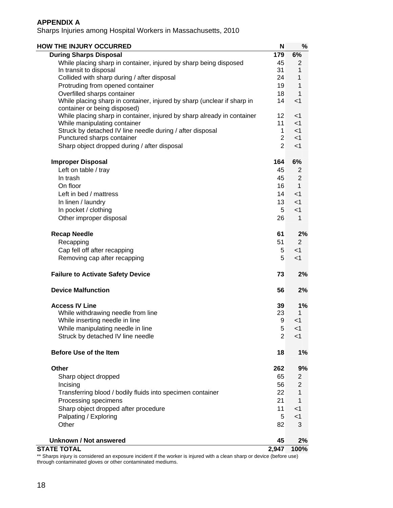Sharps Injuries among Hospital Workers in Massachusetts, 2010

| <b>HOW THE INJURY OCCURRED</b>                                                                          | N              | $\%$           |
|---------------------------------------------------------------------------------------------------------|----------------|----------------|
| <b>During Sharps Disposal</b>                                                                           | 179            | 6%             |
| While placing sharp in container, injured by sharp being disposed                                       | 45             | $\overline{2}$ |
| In transit to disposal                                                                                  | 31             | 1              |
| Collided with sharp during / after disposal                                                             | 24             | 1              |
| Protruding from opened container                                                                        | 19             | 1              |
| Overfilled sharps container                                                                             | 18             | 1              |
| While placing sharp in container, injured by sharp (unclear if sharp in                                 | 14             | $<$ 1          |
| container or being disposed)                                                                            | 12             | $<$ 1          |
| While placing sharp in container, injured by sharp already in container<br>While manipulating container | 11             | $<$ 1          |
| Struck by detached IV line needle during / after disposal                                               | $\mathbf 1$    | $<$ 1          |
| Punctured sharps container                                                                              | $\overline{2}$ | $<$ 1          |
| Sharp object dropped during / after disposal                                                            | $\overline{2}$ | $<$ 1          |
| <b>Improper Disposal</b>                                                                                | 164            | 6%             |
| Left on table / tray                                                                                    | 45             | 2              |
| In trash                                                                                                | 45             | $\overline{2}$ |
| On floor                                                                                                | 16             | $\mathbf{1}$   |
| Left in bed / mattress                                                                                  | 14             | < 1            |
| In linen / laundry                                                                                      | 13             | $<$ 1          |
| In pocket / clothing                                                                                    | 5              | $<$ 1          |
| Other improper disposal                                                                                 | 26             | 1              |
| <b>Recap Needle</b>                                                                                     | 61             | 2%             |
| Recapping                                                                                               | 51             | $\overline{2}$ |
| Cap fell off after recapping                                                                            | 5              | $<$ 1          |
| Removing cap after recapping                                                                            | 5              | $<$ 1          |
| <b>Failure to Activate Safety Device</b>                                                                | 73             | 2%             |
| <b>Device Malfunction</b>                                                                               | 56             | 2%             |
| <b>Access IV Line</b>                                                                                   | 39             | 1%             |
| While withdrawing needle from line                                                                      | 23             | 1              |
| While inserting needle in line                                                                          | 9              | <1             |
| While manipulating needle in line                                                                       | $\mathbf 5$    | $<$ 1          |
| Struck by detached IV line needle                                                                       | $\overline{2}$ | $<$ 1          |
| <b>Before Use of the Item</b>                                                                           | 18             | 1%             |
| <b>Other</b>                                                                                            | 262            | 9%             |
| Sharp object dropped                                                                                    | 65             | 2              |
| Incising                                                                                                | 56             | 2              |
| Transferring blood / bodily fluids into specimen container                                              | 22             | 1              |
| Processing specimens                                                                                    | 21             | 1              |
| Sharp object dropped after procedure                                                                    | 11             | $<$ 1          |
| Palpating / Exploring                                                                                   | 5              | $<$ 1          |
| Other                                                                                                   | 82             | 3              |
| <b>Unknown / Not answered</b>                                                                           | 45             | 2%             |
| <b>STATE TOTAL</b>                                                                                      | 2,947          | 100%           |

\*\* Sharps injury is considered an exposure incident if the worker is injured with a clean sharp or device (before use) through contaminated gloves or other contaminated mediums.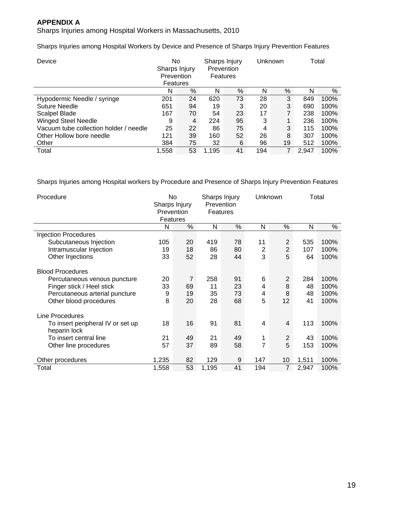Sharps Injuries among Hospital Workers in Massachusetts, 2010

Sharps Injuries among Hospital Workers by Device and Presence of Sharps Injury Prevention Features

| Device                                 | No<br>Sharps Injury<br>Prevention<br>Features |    |       | Sharps Injury<br>Prevention<br>Features |     | Unknown |       | Total |
|----------------------------------------|-----------------------------------------------|----|-------|-----------------------------------------|-----|---------|-------|-------|
|                                        | N                                             | %  | N     | %                                       | N   | %       | N     | %     |
| Hypodermic Needle / syringe            | 201                                           | 24 | 620   | 73                                      | 28  | 3       | 849   | 100%  |
| <b>Suture Needle</b>                   | 651                                           | 94 | 19    | 3                                       | 20  | 3       | 690   | 100%  |
| Scalpel Blade                          | 167                                           | 70 | 54    | 23                                      | 17  | 7       | 238   | 100%  |
| <b>Winged Steel Needle</b>             | 9                                             | 4  | 224   | 95                                      | 3   | 1       | 236   | 100%  |
| Vacuum tube collection holder / needle | 25                                            | 22 | 86    | 75                                      | 4   | 3       | 115   | 100%  |
| Other Hollow bore needle               | 121                                           | 39 | 160   | 52                                      | 26  | 8       | 307   | 100%  |
| Other                                  | 384                                           | 75 | 32    | 6                                       | 96  | 19      | 512   | 100%  |
| Total                                  | 1,558                                         | 53 | 1.195 | 41                                      | 194 | 7       | 2.947 | 100%  |

Sharps Injuries among Hospital workers by Procedure and Presence of Sharps Injury Prevention Features

| Procedure                                                                                                                                        |                    | No<br>Sharps Injury<br>Prevention<br>Features |                       | Sharps Injury<br>Prevention<br>Features | Unknown                       |                   | Total                 |                              |
|--------------------------------------------------------------------------------------------------------------------------------------------------|--------------------|-----------------------------------------------|-----------------------|-----------------------------------------|-------------------------------|-------------------|-----------------------|------------------------------|
|                                                                                                                                                  | N                  | $\%$                                          | N                     | %                                       | N                             | %                 | N                     | %                            |
| <b>Injection Procedures</b>                                                                                                                      |                    |                                               |                       |                                         |                               |                   |                       |                              |
| Subcutaneous Injection                                                                                                                           | 105                | 20                                            | 419                   | 78                                      | 11                            | $\overline{2}$    | 535                   | 100%                         |
| Intramuscular Injection                                                                                                                          | 19                 | 18                                            | 86                    | 80                                      | $\overline{2}$                | $\overline{2}$    | 107                   | 100%                         |
| Other Injections                                                                                                                                 | 33                 | 52                                            | 28                    | 44                                      | 3                             | 5                 | 64                    | 100%                         |
| <b>Blood Procedures</b><br>Percutaneous venous puncture<br>Finger stick / Heel stick<br>Percutaneous arterial puncture<br>Other blood procedures | 20<br>33<br>9<br>8 | $\overline{7}$<br>69<br>19<br>20              | 258<br>11<br>35<br>28 | 91<br>23<br>73<br>68                    | 6<br>4<br>4<br>$\overline{5}$ | 2<br>8<br>8<br>12 | 284<br>48<br>48<br>41 | 100%<br>100%<br>100%<br>100% |
| Line Procedures                                                                                                                                  |                    |                                               |                       |                                         |                               |                   |                       |                              |
| To insert peripheral IV or set up<br>heparin lock                                                                                                | 18                 | 16                                            | 91                    | 81                                      | $\overline{4}$                | 4                 | 113                   | 100%                         |
| To insert central line                                                                                                                           | 21                 | 49                                            | 21                    | 49                                      | 1                             | 2                 | 43                    | 100%                         |
| Other line procedures                                                                                                                            | 57                 | 37                                            | 89                    | 58                                      | $\overline{7}$                | 5                 | 153                   | 100%                         |
| Other procedures                                                                                                                                 | 1,235              | 82                                            | 129                   | 9                                       | 147                           | 10                | 1,511                 | 100%                         |
| Total                                                                                                                                            | 1,558              | 53                                            | 1,195                 | 41                                      | 194                           | $\overline{7}$    | 2,947                 | 100%                         |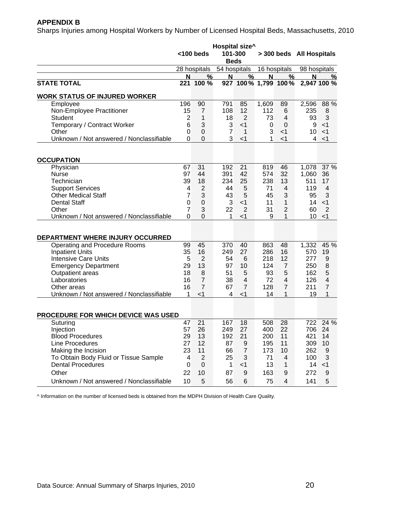## **APPENDIX B**

Sharps Injuries among Hospital Workers by Number of Licensed Hospital Beds, Massachusetts, 2010

|                                            | Hospital size <sup>^</sup><br>101-300<br>$<$ 100 beds<br><b>Beds</b> |                |                |                     |       | > 300 beds All Hospitals |              |                |
|--------------------------------------------|----------------------------------------------------------------------|----------------|----------------|---------------------|-------|--------------------------|--------------|----------------|
|                                            |                                                                      | 28 hospitals   | 54 hospitals   |                     |       | 16 hospitals             | 98 hospitals |                |
|                                            | N                                                                    | %              | N              | %                   | N     | %                        | N            | %              |
| <b>STATE TOTAL</b>                         | 221                                                                  | 100 %          |                | 927 100% 1,799 100% |       |                          |              | 2,947 100 %    |
| <b>WORK STATUS OF INJURED WORKER</b>       |                                                                      |                |                |                     |       |                          |              |                |
| Employee                                   | 196                                                                  | 90             | 791            | 85                  | 1,609 | 89                       | 2,596        | 88 %           |
| Non-Employee Practitioner                  | 15                                                                   | 7              | 108            | 12                  | 112   | 6                        | 235          | 8              |
| <b>Student</b>                             | $\overline{2}$                                                       | 1              | 18             | $\overline{2}$      | 73    | 4                        | 93           | 3              |
| Temporary / Contract Worker                | 6                                                                    | 3              | 3              | $<$ 1               | 0     | $\mathbf 0$              | 9            | $<$ 1          |
| Other                                      | $\mathbf 0$                                                          | $\mathbf 0$    | $\overline{7}$ | 1                   | 3     | $<$ 1                    | 10           | $<$ 1          |
| Unknown / Not answered / Nonclassifiable   | $\Omega$                                                             | $\overline{0}$ | 3              | $<$ 1               | 1     | $<$ 1                    | 4            | $<$ 1          |
|                                            |                                                                      |                |                |                     |       |                          |              |                |
| <b>OCCUPATION</b>                          |                                                                      |                |                |                     |       |                          |              |                |
| Physician                                  | 67                                                                   | 31             | 192            | 21                  | 819   | 46                       | 1,078        | 37 %           |
| <b>Nurse</b>                               | 97                                                                   | 44             | 391            | 42                  | 574   | 32                       | 1,060        | 36             |
| Technician                                 | 39                                                                   | 18             | 234            | 25                  | 238   | 13                       | 511          | 17             |
| <b>Support Services</b>                    | 4                                                                    | $\overline{2}$ | 44             | 5                   | 71    | 4                        | 119          | 4              |
| <b>Other Medical Staff</b>                 | $\overline{7}$                                                       | 3              | 43             | 5                   | 45    | 3                        | 95           | 3              |
| <b>Dental Staff</b>                        | $\boldsymbol{0}$                                                     | $\mathbf 0$    | 3              | $<$ 1               | 11    | 1                        | 14           | $<$ 1          |
| Other                                      | 7                                                                    | 3              | 22             | $\overline{2}$      | 31    | $\overline{2}$           | 60           | $\overline{2}$ |
| Unknown / Not answered / Nonclassifiable   | $\overline{0}$                                                       | $\overline{0}$ | 1              | $<$ 1               | 9     | 1                        | 10           | $<$ 1          |
| DEPARTMENT WHERE INJURY OCCURRED           |                                                                      |                |                |                     |       |                          |              |                |
| Operating and Procedure Rooms              | 99                                                                   | 45             | 370            | 40                  | 863   | 48                       | 1,332        | 45 %           |
| <b>Inpatient Units</b>                     | 35                                                                   | 16             | 249            | 27                  | 286   | 16                       | 570          | 19             |
| <b>Intensive Care Units</b>                | 5                                                                    | $\overline{2}$ | 54             | 6                   | 218   | 12                       | 277          | 9              |
| <b>Emergency Department</b>                | 29                                                                   | 13             | 97             | 10                  | 124   | $\overline{7}$           | 250          | 8              |
| Outpatient areas                           | 18                                                                   | 8              | 51             | 5                   | 93    | 5                        | 162          | 5              |
| Laboratories                               | 16                                                                   | $\overline{7}$ | 38             | 4                   | 72    | 4                        | 126          | 4              |
| Other areas                                | 16                                                                   | $\overline{7}$ | 67             | $\overline{7}$      | 128   | $\overline{7}$           | 211          | $\overline{7}$ |
| Unknown / Not answered / Nonclassifiable   | 1                                                                    | $<$ 1          | 4              | $<$ 1               | 14    | 1                        | 19           | 1              |
|                                            |                                                                      |                |                |                     |       |                          |              |                |
| <b>PROCEDURE FOR WHICH DEVICE WAS USED</b> |                                                                      |                |                |                     |       |                          |              |                |
| Suturing                                   | 47                                                                   | 21             | 167            | 18                  | 508   | 28                       |              | 722 24 %       |
| Injection                                  | 57                                                                   | 26             | 249            | 27                  | 400   | 22                       | 706          | 24             |
| <b>Blood Procedures</b>                    | 29                                                                   | 13             | 192            | 21                  | 200   | 11                       | 421          | 14             |
| Line Procedures                            | 27                                                                   | 12             | 87             | 9                   | 195   | 11                       | 309          | 10             |
| Making the Incision                        | 23                                                                   | 11             | 66             | $\overline{7}$      | 173   | 10                       | 262          | 9              |
| To Obtain Body Fluid or Tissue Sample      | 4                                                                    | $\overline{2}$ | 25             | 3                   | 71    | 4                        | 100          | 3              |
| <b>Dental Procedures</b>                   | $\Omega$                                                             | 0              | 1              | $<$ 1               | 13    | 1                        | 14           | $<$ 1          |
| Other                                      | 22                                                                   | 10             | 87             | 9                   | 163   | 9                        | 272          | 9              |
| Unknown / Not answered / Nonclassifiable   | 10                                                                   | 5              | 56             | 6                   | 75    | 4                        | 141          | 5              |

^ Information on the number of licensed beds is obtained from the MDPH Division of Health Care Quality.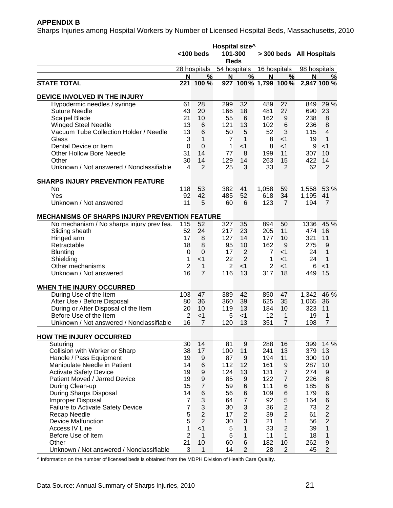## **APPENDIX B**

Sharps Injuries among Hospital Workers by Number of Licensed Hospital Beds, Massachusetts, 2010

|                                                       | Hospital size^<br>$<$ 100 beds<br>101-300<br><b>Beds</b> |                  |                |                     | > 300 beds All Hospitals |                |              |                  |
|-------------------------------------------------------|----------------------------------------------------------|------------------|----------------|---------------------|--------------------------|----------------|--------------|------------------|
|                                                       |                                                          | 28 hospitals     | 54 hospitals   |                     |                          | 16 hospitals   | 98 hospitals |                  |
|                                                       | N                                                        | %                | Ν              | $\%$                | N                        | %              | N            | %                |
| <b>STATE TOTAL</b>                                    | 221                                                      | 100 %            |                | 927 100% 1,799 100% |                          |                |              | 2,947 100 %      |
| DEVICE INVOLVED IN THE INJURY                         |                                                          |                  |                |                     |                          |                |              |                  |
| Hypodermic needles / syringe                          | 61                                                       | 28               | 299            | 32                  | 489                      | 27             | 849          | 29 %             |
| <b>Suture Needle</b>                                  | 43                                                       | 20               | 166            | 18                  | 481                      | 27             | 690          | 23               |
| <b>Scalpel Blade</b>                                  | 21                                                       | 10               | 55             | 6                   | 162                      | 9              | 238          | 8                |
| <b>Winged Steel Needle</b>                            | 13                                                       | 6                | 121            | 13                  | 102                      | 6              | 236          | 8                |
| Vacuum Tube Collection Holder / Needle                | 13                                                       | 6                | 50             | 5                   | 52                       | 3              | 115          | $\overline{4}$   |
| Glass                                                 | 3                                                        | 1                | $\overline{7}$ | 1                   | 8                        | $<$ 1          | 19           | $\mathbf 1$      |
| Dental Device or Item                                 | 0                                                        | $\overline{0}$   | 1              | $<$ 1               | 8                        | $<$ 1          | 9            | $<$ 1            |
| <b>Other Hollow Bore Needle</b>                       | 31                                                       | 14               | 77             | 8                   | 199                      | 11             | 307          | 10               |
| Other                                                 | 30                                                       | 14               | 129            | 14                  | 263                      | 15             | 422          | 14               |
| Unknown / Not answered / Nonclassifiable              | 4                                                        | $\overline{2}$   | 25             | 3                   | 33                       | 2              | 62           | $\overline{2}$   |
| <b>SHARPS INJURY PREVENTION FEATURE</b>               |                                                          |                  |                |                     |                          |                |              |                  |
| No                                                    | 118                                                      | 53               | 382            | 41                  | 1,058                    | 59             | 1,558        | 53 %             |
| Yes                                                   | 92                                                       | 42               | 485            | 52                  | 618                      | 34             | 1,195        | 41               |
| Unknown / Not answered                                | 11                                                       | 5                | 60             | 6                   | 123                      | $\overline{7}$ | 194          | 7                |
| <b>MECHANISMS OF SHARPS INJURY PREVENTION FEATURE</b> |                                                          |                  |                |                     |                          |                |              |                  |
| No mechanism / No sharps injury prev fea.             | 115                                                      | 52               | 327            | 35                  | 894                      | 50             | 1336         | 45 %             |
| Sliding sheath                                        | 52                                                       | 24               | 217            | 23                  | 205                      | 11             | 474          | 16               |
| Hinged arm                                            | 17                                                       | 8                | 127            | 14                  | 177                      | 10             | 321          | 11               |
| Retractable                                           | 18                                                       | 8                | 95             | 10                  | 162                      | 9              | 275          | 9                |
| <b>Blunting</b>                                       | 0                                                        | $\mathbf 0$      | 17             | $\overline{2}$      | $\overline{7}$           | $<$ 1          | 24           | 1                |
| Shielding                                             | 1                                                        | $<$ 1            | 22             | $\overline{2}$      | 1                        | $<$ 1          | 24           | 1                |
| Other mechanisms                                      | $\overline{2}$                                           | 1                | $\overline{2}$ | $<$ 1               | $\overline{2}$           | $<$ 1          | 6            | $<$ 1            |
| Unknown / Not answered                                | 16                                                       | 7                | 116            | 13                  | 317                      | 18             | 449          | 15               |
|                                                       |                                                          |                  |                |                     |                          |                |              |                  |
| WHEN THE INJURY OCCURRED                              |                                                          |                  |                |                     |                          |                |              |                  |
| During Use of the Item                                | 103                                                      | 47               | 389            | 42                  | 850                      | 47             | 1,342        | 46 %             |
| After Use / Before Disposal                           | 80                                                       | 36               | 360            | 39                  | 625                      | 35             | 1,065        | 36               |
| During or After Disposal of the Item                  | 20                                                       | 10               | 119            | 13                  | 184                      | 10             | 323          | 11               |
| Before Use of the Item                                | $\overline{2}$                                           | $<$ 1            | 5              | $<$ 1               | 12                       | 1              | 19           | 1                |
| Unknown / Not answered / Nonclassifiable              | 16                                                       | $\overline{7}$   | 120            | 13                  | 351                      | 7              | 198          | 7                |
| <b>HOW THE INJURY OCCURRED</b>                        |                                                          |                  |                |                     |                          |                |              |                  |
| Suturing                                              | 30                                                       | 14               | 81             | $\boldsymbol{9}$    | 288                      | 16             | 399          | 14 %             |
| Collision with Worker or Sharp                        | 38                                                       | 17               | 100            | 11                  | 241                      | 13             | 379          | 13               |
| Handle / Pass Equipment                               | 19                                                       | 9                | 87             | 9                   | 194                      | 11             | 300          | 10               |
| Manipulate Needle in Patient                          | 14                                                       | 6                | 112            | 12                  | 161                      | 9              | 287          | 10               |
| <b>Activate Safety Device</b>                         | 19                                                       | $\boldsymbol{9}$ | 124            | 13                  | 131                      | $\overline{7}$ | 274          | 9                |
| Patient Moved / Jarred Device                         | 19                                                       | $\boldsymbol{9}$ | 85             | $\boldsymbol{9}$    | 122                      | $\overline{7}$ | 226          | 8                |
| During Clean-up                                       | 15                                                       | $\overline{7}$   | 59             | $\,6$               | 111                      | 6              | 185          | $\,$ 6 $\,$      |
| During Sharps Disposal                                | 14                                                       | 6                | 56             | $\,6$               | 109                      | 6              | 179          | $\,$ 6 $\,$      |
| Improper Disposal                                     | $\overline{7}$                                           | 3                | 64             | $\overline{7}$      | 92                       | 5              | 164          | $\,$ 6 $\,$      |
| <b>Failure to Activate Safety Device</b>              | $\overline{7}$                                           | 3                | 30             | $\sqrt{3}$          | 36                       | $\overline{c}$ | 73           | $\overline{c}$   |
| Recap Needle                                          | 5                                                        | $\overline{2}$   | 17             | $\overline{c}$      | 39                       | $\overline{2}$ | 61           | $\overline{c}$   |
| <b>Device Malfunction</b>                             | 5                                                        | $\overline{2}$   | 30             | 3                   | 21                       | 1              | 56           | $\overline{2}$   |
| Access IV Line                                        | $\mathbf{1}$                                             | $<$ 1            | 5              | $\mathbf{1}$        | 33                       | $\overline{2}$ | 39           | $\mathbf{1}$     |
| Before Use of Item                                    | $\overline{2}$                                           | $\mathbf{1}$     | 5              | $\mathbf{1}$        | 11                       | $\mathbf{1}$   | 18           | $\mathbf{1}$     |
| Other                                                 | 21                                                       | 10               | 60             | $\,6$               | 182                      | 10             | 262          | $\boldsymbol{9}$ |
| Unknown / Not answered / Nonclassifiable              | 3                                                        | $\mathbf{1}$     | 14             | $\overline{c}$      | 28                       | $\overline{2}$ | 45           | $\overline{2}$   |

^ Information on the number of licensed beds is obtained from the MDPH Division of Health Care Quality.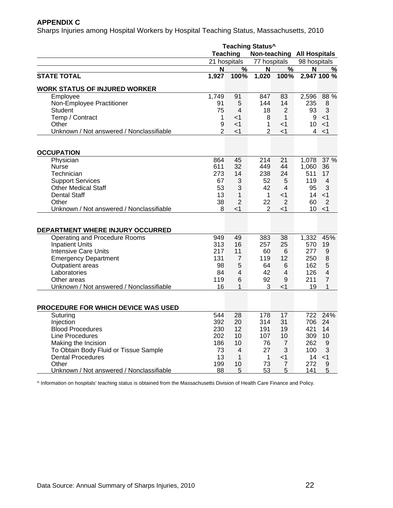#### **APPENDIX C**

Sharps Injuries among Hospital Workers by Hospital Teaching Status, Massachusetts, 2010

|                                          | <b>Teaching Status^</b> |                 |                  |                 |                                   |                |  |  |
|------------------------------------------|-------------------------|-----------------|------------------|-----------------|-----------------------------------|----------------|--|--|
|                                          | <b>Teaching</b>         |                 |                  |                 | <b>Non-teaching All Hospitals</b> |                |  |  |
|                                          | 21 hospitals            |                 | 77 hospitals     |                 | 98 hospitals                      |                |  |  |
|                                          | N                       | %               | N                | $\frac{9}{6}$   | N                                 | %              |  |  |
| <b>STATE TOTAL</b>                       | 1,927                   | 100%            | 1,020            | 100%            |                                   | 2,947 100 %    |  |  |
| <b>WORK STATUS OF INJURED WORKER</b>     |                         |                 |                  |                 |                                   |                |  |  |
| Employee                                 | 1,749                   | 91              | 847              | 83              | 2,596                             | 88 %           |  |  |
| Non-Employee Practitioner                | 91                      | 5               | 144              | 14              | 235                               | 8              |  |  |
| <b>Student</b>                           | 75                      | 4               | 18               | 2               | 93                                | 3              |  |  |
| Temp / Contract                          | 1                       | $<$ 1           | 8                | $\mathbf{1}$    | 9                                 | $<$ 1          |  |  |
| Other                                    | 9                       | $<$ 1           | $\mathbf{1}$     | $<$ 1           | 10 <sup>1</sup>                   | $<$ 1          |  |  |
| Unknown / Not answered / Nonclassifiable | $\overline{2}$          | $<$ 1           | $\overline{2}$   | $<$ 1           | 4                                 | $<$ 1          |  |  |
|                                          |                         |                 |                  |                 |                                   |                |  |  |
| <b>OCCUPATION</b><br>Physician           |                         | 45              | 214              | 21              | 1,078                             | 37 %           |  |  |
|                                          | 864<br>611              |                 | 449              |                 |                                   |                |  |  |
| Nurse                                    |                         | 32              |                  | 44              | 1,060                             | 36             |  |  |
| Technician                               | 273                     | 14              | 238              | 24              | 511                               | 17             |  |  |
| <b>Support Services</b>                  | 67                      | 3               | 52               | 5               | 119                               | 4              |  |  |
| <b>Other Medical Staff</b>               | 53                      | 3               | 42               | 4               | 95                                | 3              |  |  |
| <b>Dental Staff</b>                      | 13                      | 1               | $\mathbf{1}$     | <1              | 14                                | $<$ 1          |  |  |
| Other                                    | 38                      | $\overline{2}$  | 22               | $\overline{2}$  | 60                                | $\overline{2}$ |  |  |
| Unknown / Not answered / Nonclassifiable | 8                       | $<$ 1           | $\overline{2}$   | $<$ 1           | 10 <sup>°</sup>                   | $<$ 1          |  |  |
| DEPARTMENT WHERE INJURY OCCURRED         |                         |                 |                  |                 |                                   |                |  |  |
| Operating and Procedure Rooms            | 949                     | 49              | 383              | 38              | 1,332                             | 45%            |  |  |
| <b>Inpatient Units</b>                   | 313                     | 16              | 257              | 25              | 570                               | 19             |  |  |
| <b>Intensive Care Units</b>              | 217                     | 11              | 60               | 6               | 277                               | $\mathsf 9$    |  |  |
| <b>Emergency Department</b>              | 131                     | $\overline{7}$  | 119              | 12              | 250                               | 8              |  |  |
| Outpatient areas                         | 98                      | 5               | 64               | 6               | 162                               | 5              |  |  |
| Laboratories                             | 84                      | 4               | 42               | 4               | 126                               | $\overline{4}$ |  |  |
| Other areas                              | 119                     | 6               | 92               | 9               | 211                               | $\overline{7}$ |  |  |
| Unknown / Not answered / Nonclassifiable | 16                      | 1               | 3                | $<$ 1           | 19                                | 1              |  |  |
|                                          |                         |                 |                  |                 |                                   |                |  |  |
| PROCEDURE FOR WHICH DEVICE WAS USED      |                         |                 |                  |                 |                                   |                |  |  |
| Suturing                                 | 544                     | $\overline{28}$ | $\overline{178}$ | $\overline{17}$ | $\overline{722}$                  | 24%            |  |  |
| Injection                                | 392                     | 20              | 314              | 31              | 706                               | 24             |  |  |
| <b>Blood Procedures</b>                  | 230                     | 12              | 191              | 19              | 421                               | 14             |  |  |
| Line Procedures                          | 202                     | 10              | 107              | 10              | 309                               | 10             |  |  |
| Making the Incision                      | 186                     | 10              | 76               | 7               | 262                               | 9              |  |  |
| To Obtain Body Fluid or Tissue Sample    | 73                      | 4               | 27               | 3               | 100                               | 3              |  |  |
| <b>Dental Procedures</b>                 | 13                      | 1               | 1                | <1              | 14                                | $<$ 1          |  |  |
| Other                                    | 199                     | 10              | 73               | 7               | 272                               | 9              |  |  |
| Unknown / Not answered / Nonclassifiable | 88                      | 5               | 53               | 5               | 141                               | 5              |  |  |

^ Information on hospitals' teaching status is obtained from the Massachusetts Division of Health Care Finance and Policy.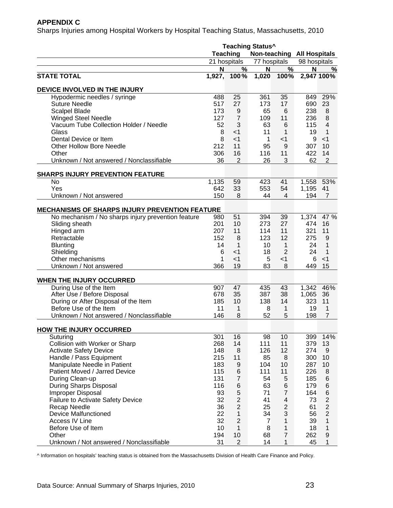## **APPENDIX C**

Sharps Injuries among Hospital Workers by Hospital Teaching Status, Massachusetts, 2010

|                                                                | <b>Teaching Status^</b> |                |                 |                                   |                |                     |
|----------------------------------------------------------------|-------------------------|----------------|-----------------|-----------------------------------|----------------|---------------------|
|                                                                | <b>Teaching</b>         |                |                 | <b>Non-teaching All Hospitals</b> |                |                     |
|                                                                | 21 hospitals            |                | 77 hospitals    |                                   | 98 hospitals   |                     |
|                                                                | N                       | %              | N               | %                                 | N              | %                   |
| <b>STATE TOTAL</b>                                             |                         | 1,927, 100%    | 1,020           | 100%                              |                | 2,947 100%          |
| DEVICE INVOLVED IN THE INJURY                                  |                         |                |                 |                                   |                |                     |
| Hypodermic needles / syringe                                   | 488                     | 25             | 361             | 35                                | 849            | 29%                 |
| <b>Suture Needle</b>                                           | 517                     | 27             | 173             | 17                                | 690            | 23                  |
| <b>Scalpel Blade</b>                                           | 173                     | 9              | 65              | 6                                 | 238            | 8                   |
| <b>Winged Steel Needle</b>                                     | 127                     | $\overline{7}$ | 109             | 11                                | 236            | 8                   |
| Vacuum Tube Collection Holder / Needle                         | 52                      | 3              | 63              | $6\phantom{1}6$                   | 115            | $\overline{4}$      |
| Glass                                                          | 8                       | $<$ 1          | 11              | 1                                 | 19             | $\mathbf{1}$        |
| Dental Device or Item                                          | 8                       | $<$ 1          | $\mathbf 1$     | $<$ 1                             | 9              | $<$ 1               |
| <b>Other Hollow Bore Needle</b>                                | 212                     | 11             | 95              | 9                                 | 307            | 10                  |
| Other                                                          | 306                     | 16             | 116             | 11                                | 422            | 14                  |
| Unknown / Not answered / Nonclassifiable                       | 36                      | $\overline{2}$ | 26              | 3                                 | 62             | $\overline{2}$      |
| <b>SHARPS INJURY PREVENTION FEATURE</b>                        |                         |                |                 |                                   |                |                     |
| No                                                             | 1,135                   | 59             | 423             | 41                                | 1,558          | 53%                 |
| Yes                                                            | 642                     | 33             | 553             | 54                                | 1,195          | 41                  |
| Unknown / Not answered                                         | 150                     | 8              | 44              | $\overline{4}$                    | 194            | $\overline{7}$      |
| <b>MECHANISMS OF SHARPS INJURY PREVENTION FEATURE</b>          |                         |                |                 |                                   |                |                     |
| No mechanism / No sharps injury prevention feature             | 980                     | 51             | 394             | 39                                | 1,374          | 47 %                |
| Sliding sheath                                                 | 201                     | 10             | 273             | 27                                | 474            | 16                  |
| Hinged arm                                                     | 207                     | 11             | 114             | 11                                | 321            | 11                  |
| Retractable                                                    | 152                     | 8              | 123             | 12                                | 275            | 9                   |
| <b>Blunting</b>                                                | 14                      | $\mathbf{1}$   | 10 <sup>°</sup> | $\mathbf{1}$                      | 24             | 1                   |
| Shielding                                                      | 6                       | $<$ 1          | 18              | $\overline{2}$                    | 24             | $\mathbf{1}$        |
| Other mechanisms                                               | 1                       | $<$ 1          | 5               | $<$ 1                             | 6              | $<$ 1               |
| Unknown / Not answered                                         | 366                     | 19             | 83              | 8                                 | 449            | 15                  |
|                                                                |                         |                |                 |                                   |                |                     |
| WHEN THE INJURY OCCURRED<br>During Use of the Item             | 907                     | 47             |                 |                                   |                | 46%                 |
| After Use / Before Disposal                                    | 678                     | 35             | 435<br>387      | 43<br>38                          | 1,342<br>1,065 | 36                  |
|                                                                | 185                     | 10             | 138             |                                   |                |                     |
| During or After Disposal of the Item<br>Before Use of the Item | 11                      |                |                 | 14                                | 323<br>19      | 11                  |
| Unknown / Not answered / Nonclassifiable                       | 146                     | 1<br>8         | 8<br>52         | 1<br>5                            | 198            | 1<br>$\overline{7}$ |
|                                                                |                         |                |                 |                                   |                |                     |
| <b>HOW THE INJURY OCCURRED</b>                                 |                         |                |                 |                                   |                |                     |
| Suturing                                                       | 301                     | 16             | 98              | 10                                | 399            | 14%                 |
| Collision with Worker or Sharp                                 | 268                     | 14             | 111             | 11                                | 379            | 13                  |
| <b>Activate Safety Device</b>                                  | 148                     | 8              | 126             | 12                                | 274            | 9                   |
| Handle / Pass Equipment                                        | 215                     | 11             | 85              | 8                                 | 300            | 10                  |
| Manipulate Needle in Patient                                   | 183                     | 9              | 104             | 10                                | 287            | 10                  |
| Patient Moved / Jarred Device                                  | 115                     | 6              | 111             | 11                                | 226            | 8                   |
| During Clean-up                                                | 131                     | $\overline{7}$ | 54              | 5                                 | 185            | $\,6$               |
| During Sharps Disposal                                         | 116                     | 6              | 63              | $\,6$                             | 179            | $\,6$               |
| Improper Disposal                                              | 93                      | 5              | 71              | $\overline{7}$                    | 164            | $\,6$               |
| <b>Failure to Activate Safety Device</b>                       | 32                      | $\overline{c}$ | 41              | $\overline{\mathbf{4}}$           | 73             | $\overline{c}$      |
| Recap Needle                                                   | 36                      | $\overline{c}$ | 25              | $\mathbf 2$                       | 61             | $\overline{2}$      |
| <b>Device Malfunctioned</b>                                    | 22                      | $\mathbf{1}$   | 34              | 3                                 | 56             | $\overline{2}$      |
| Access IV Line                                                 | 32                      | $\overline{2}$ | $\overline{7}$  | $\mathbf{1}$                      | 39             | $\mathbf{1}$        |
| Before Use of Item                                             | 10                      | $\mathbf{1}$   | 8               | $\mathbf{1}$                      | 18             | 1                   |
| Other                                                          | 194                     | 10             | 68              | $\overline{7}$                    | 262            | $\boldsymbol{9}$    |
| Unknown / Not answered / Nonclassifiable                       | 31                      | $\overline{2}$ | 14              | 1                                 | 45             | 1                   |

^ Information on hospitals' teaching status is obtained from the Massachusetts Division of Health Care Finance and Policy.